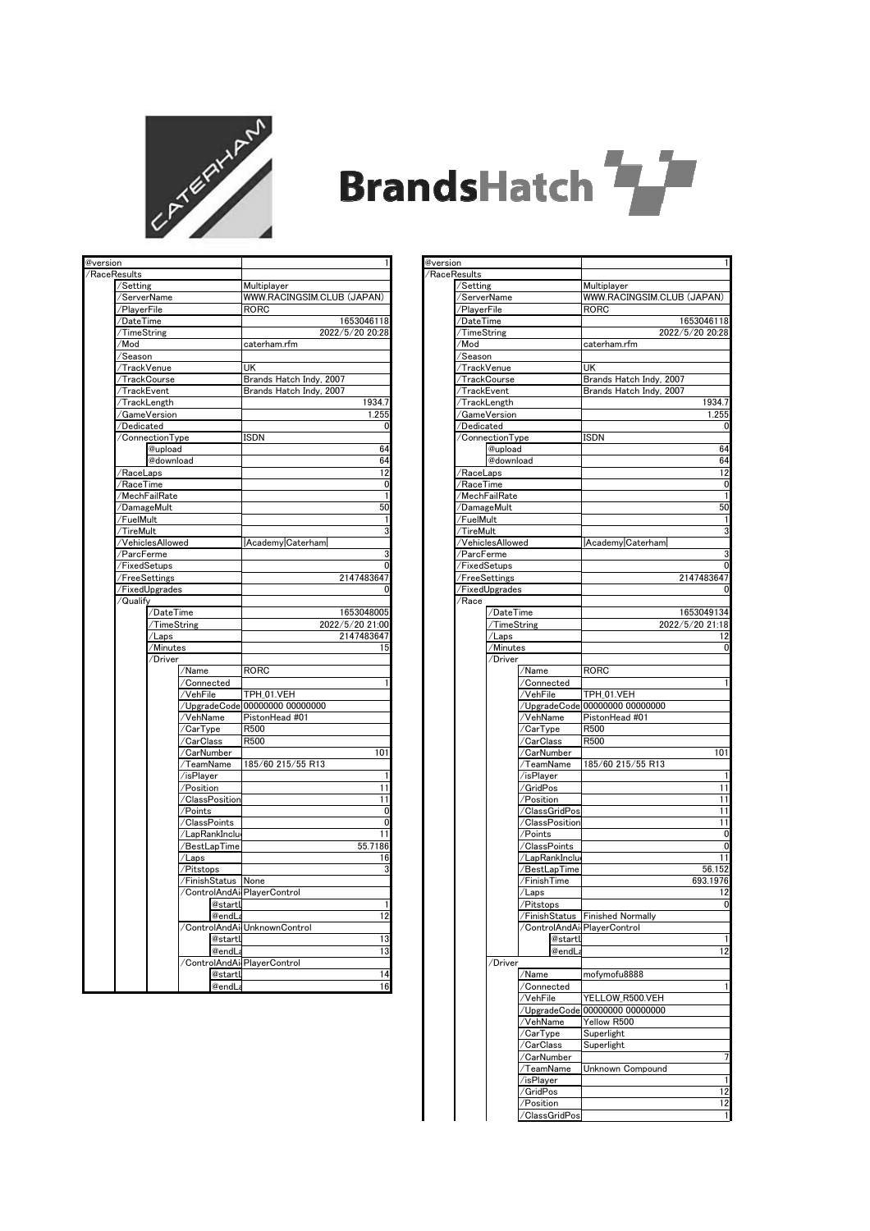

## **BrandsHatch**

| /RaceResults<br>/Setting<br>Multiplayer<br>/ServerName<br>WWW.RACINGSIM.CLUB (JAPAN)<br>/PlayerFile<br>RORC<br>/DateTime<br>1653046118<br>TimeString<br>2022/5/20 20:28<br>/Mod<br>caterham.rfm<br>/Season<br>UK<br>/TrackVenue<br>Brands Hatch Indy, 2007<br>/TrackCourse<br>TrackEvent<br>Brands Hatch Indy, 2007<br>1934.7<br>TrackLength<br>1.255<br>/GameVersion<br>/Dedicated<br>0<br><b>ISDN</b><br>/ConnectionType<br>64<br>@upload<br>64<br>@download<br>12<br>/RaceLaps<br>0<br>/RaceTime<br>/MechFailRate<br>1<br>50<br>/DamageMult<br>/FuelMult<br>1<br>3<br>/TireMult<br>/VehiclesAllowed<br>Academy Caterham<br>/ParcFerme<br>/FixedSetups<br>/FreeSettings<br>/FixedUpgrades<br>Qualify<br>/DateTime<br>2022/5/20 21:00<br>/TimeString<br>2147483647<br>/Laps<br>/Minutes<br>15<br>'Driver<br>RORC<br>/Name<br>1<br>/Connected<br>TPH_01.VEH<br>/VehFile<br>00000000 00000000<br>/UpgradeCode<br>VehName<br>PistonHead #01<br>R500<br>/CarType<br>R500<br>/CarClass<br>/CarNumber<br>101<br>/TeamName<br>185/60 215/55 R13<br>/isPlayer<br>1<br>11<br>/Position<br>/ClassPosition<br>11<br>0<br>/Points<br>/ClassPoints<br>0<br>/LapRankInclu<br>11<br>55.7186<br>/BestLapTime<br>/Laps<br>16<br>3<br>Pitstops<br>@startl<br>@endLa<br>/ControlAndAi UnknownControl<br>@startl<br>@endLa<br>/ControlAndAi PlayerControl<br>@startl<br>@endLa | @version |  |  | 1               |
|-------------------------------------------------------------------------------------------------------------------------------------------------------------------------------------------------------------------------------------------------------------------------------------------------------------------------------------------------------------------------------------------------------------------------------------------------------------------------------------------------------------------------------------------------------------------------------------------------------------------------------------------------------------------------------------------------------------------------------------------------------------------------------------------------------------------------------------------------------------------------------------------------------------------------------------------------------------------------------------------------------------------------------------------------------------------------------------------------------------------------------------------------------------------------------------------------------------------------------------------------------------------------------------------------------------------------------------------------------------|----------|--|--|-----------------|
|                                                                                                                                                                                                                                                                                                                                                                                                                                                                                                                                                                                                                                                                                                                                                                                                                                                                                                                                                                                                                                                                                                                                                                                                                                                                                                                                                             |          |  |  |                 |
|                                                                                                                                                                                                                                                                                                                                                                                                                                                                                                                                                                                                                                                                                                                                                                                                                                                                                                                                                                                                                                                                                                                                                                                                                                                                                                                                                             |          |  |  |                 |
|                                                                                                                                                                                                                                                                                                                                                                                                                                                                                                                                                                                                                                                                                                                                                                                                                                                                                                                                                                                                                                                                                                                                                                                                                                                                                                                                                             |          |  |  |                 |
|                                                                                                                                                                                                                                                                                                                                                                                                                                                                                                                                                                                                                                                                                                                                                                                                                                                                                                                                                                                                                                                                                                                                                                                                                                                                                                                                                             |          |  |  |                 |
|                                                                                                                                                                                                                                                                                                                                                                                                                                                                                                                                                                                                                                                                                                                                                                                                                                                                                                                                                                                                                                                                                                                                                                                                                                                                                                                                                             |          |  |  |                 |
|                                                                                                                                                                                                                                                                                                                                                                                                                                                                                                                                                                                                                                                                                                                                                                                                                                                                                                                                                                                                                                                                                                                                                                                                                                                                                                                                                             |          |  |  |                 |
|                                                                                                                                                                                                                                                                                                                                                                                                                                                                                                                                                                                                                                                                                                                                                                                                                                                                                                                                                                                                                                                                                                                                                                                                                                                                                                                                                             |          |  |  |                 |
|                                                                                                                                                                                                                                                                                                                                                                                                                                                                                                                                                                                                                                                                                                                                                                                                                                                                                                                                                                                                                                                                                                                                                                                                                                                                                                                                                             |          |  |  |                 |
|                                                                                                                                                                                                                                                                                                                                                                                                                                                                                                                                                                                                                                                                                                                                                                                                                                                                                                                                                                                                                                                                                                                                                                                                                                                                                                                                                             |          |  |  |                 |
|                                                                                                                                                                                                                                                                                                                                                                                                                                                                                                                                                                                                                                                                                                                                                                                                                                                                                                                                                                                                                                                                                                                                                                                                                                                                                                                                                             |          |  |  |                 |
|                                                                                                                                                                                                                                                                                                                                                                                                                                                                                                                                                                                                                                                                                                                                                                                                                                                                                                                                                                                                                                                                                                                                                                                                                                                                                                                                                             |          |  |  |                 |
|                                                                                                                                                                                                                                                                                                                                                                                                                                                                                                                                                                                                                                                                                                                                                                                                                                                                                                                                                                                                                                                                                                                                                                                                                                                                                                                                                             |          |  |  |                 |
|                                                                                                                                                                                                                                                                                                                                                                                                                                                                                                                                                                                                                                                                                                                                                                                                                                                                                                                                                                                                                                                                                                                                                                                                                                                                                                                                                             |          |  |  |                 |
|                                                                                                                                                                                                                                                                                                                                                                                                                                                                                                                                                                                                                                                                                                                                                                                                                                                                                                                                                                                                                                                                                                                                                                                                                                                                                                                                                             |          |  |  |                 |
|                                                                                                                                                                                                                                                                                                                                                                                                                                                                                                                                                                                                                                                                                                                                                                                                                                                                                                                                                                                                                                                                                                                                                                                                                                                                                                                                                             |          |  |  |                 |
|                                                                                                                                                                                                                                                                                                                                                                                                                                                                                                                                                                                                                                                                                                                                                                                                                                                                                                                                                                                                                                                                                                                                                                                                                                                                                                                                                             |          |  |  |                 |
|                                                                                                                                                                                                                                                                                                                                                                                                                                                                                                                                                                                                                                                                                                                                                                                                                                                                                                                                                                                                                                                                                                                                                                                                                                                                                                                                                             |          |  |  |                 |
|                                                                                                                                                                                                                                                                                                                                                                                                                                                                                                                                                                                                                                                                                                                                                                                                                                                                                                                                                                                                                                                                                                                                                                                                                                                                                                                                                             |          |  |  |                 |
|                                                                                                                                                                                                                                                                                                                                                                                                                                                                                                                                                                                                                                                                                                                                                                                                                                                                                                                                                                                                                                                                                                                                                                                                                                                                                                                                                             |          |  |  |                 |
|                                                                                                                                                                                                                                                                                                                                                                                                                                                                                                                                                                                                                                                                                                                                                                                                                                                                                                                                                                                                                                                                                                                                                                                                                                                                                                                                                             |          |  |  |                 |
|                                                                                                                                                                                                                                                                                                                                                                                                                                                                                                                                                                                                                                                                                                                                                                                                                                                                                                                                                                                                                                                                                                                                                                                                                                                                                                                                                             |          |  |  |                 |
|                                                                                                                                                                                                                                                                                                                                                                                                                                                                                                                                                                                                                                                                                                                                                                                                                                                                                                                                                                                                                                                                                                                                                                                                                                                                                                                                                             |          |  |  |                 |
|                                                                                                                                                                                                                                                                                                                                                                                                                                                                                                                                                                                                                                                                                                                                                                                                                                                                                                                                                                                                                                                                                                                                                                                                                                                                                                                                                             |          |  |  |                 |
|                                                                                                                                                                                                                                                                                                                                                                                                                                                                                                                                                                                                                                                                                                                                                                                                                                                                                                                                                                                                                                                                                                                                                                                                                                                                                                                                                             |          |  |  |                 |
|                                                                                                                                                                                                                                                                                                                                                                                                                                                                                                                                                                                                                                                                                                                                                                                                                                                                                                                                                                                                                                                                                                                                                                                                                                                                                                                                                             |          |  |  |                 |
|                                                                                                                                                                                                                                                                                                                                                                                                                                                                                                                                                                                                                                                                                                                                                                                                                                                                                                                                                                                                                                                                                                                                                                                                                                                                                                                                                             |          |  |  | 3               |
|                                                                                                                                                                                                                                                                                                                                                                                                                                                                                                                                                                                                                                                                                                                                                                                                                                                                                                                                                                                                                                                                                                                                                                                                                                                                                                                                                             |          |  |  | 0               |
|                                                                                                                                                                                                                                                                                                                                                                                                                                                                                                                                                                                                                                                                                                                                                                                                                                                                                                                                                                                                                                                                                                                                                                                                                                                                                                                                                             |          |  |  | 2147483647      |
|                                                                                                                                                                                                                                                                                                                                                                                                                                                                                                                                                                                                                                                                                                                                                                                                                                                                                                                                                                                                                                                                                                                                                                                                                                                                                                                                                             |          |  |  | 0               |
|                                                                                                                                                                                                                                                                                                                                                                                                                                                                                                                                                                                                                                                                                                                                                                                                                                                                                                                                                                                                                                                                                                                                                                                                                                                                                                                                                             |          |  |  |                 |
|                                                                                                                                                                                                                                                                                                                                                                                                                                                                                                                                                                                                                                                                                                                                                                                                                                                                                                                                                                                                                                                                                                                                                                                                                                                                                                                                                             |          |  |  | 1653048005      |
|                                                                                                                                                                                                                                                                                                                                                                                                                                                                                                                                                                                                                                                                                                                                                                                                                                                                                                                                                                                                                                                                                                                                                                                                                                                                                                                                                             |          |  |  |                 |
|                                                                                                                                                                                                                                                                                                                                                                                                                                                                                                                                                                                                                                                                                                                                                                                                                                                                                                                                                                                                                                                                                                                                                                                                                                                                                                                                                             |          |  |  |                 |
|                                                                                                                                                                                                                                                                                                                                                                                                                                                                                                                                                                                                                                                                                                                                                                                                                                                                                                                                                                                                                                                                                                                                                                                                                                                                                                                                                             |          |  |  |                 |
|                                                                                                                                                                                                                                                                                                                                                                                                                                                                                                                                                                                                                                                                                                                                                                                                                                                                                                                                                                                                                                                                                                                                                                                                                                                                                                                                                             |          |  |  |                 |
|                                                                                                                                                                                                                                                                                                                                                                                                                                                                                                                                                                                                                                                                                                                                                                                                                                                                                                                                                                                                                                                                                                                                                                                                                                                                                                                                                             |          |  |  |                 |
|                                                                                                                                                                                                                                                                                                                                                                                                                                                                                                                                                                                                                                                                                                                                                                                                                                                                                                                                                                                                                                                                                                                                                                                                                                                                                                                                                             |          |  |  |                 |
|                                                                                                                                                                                                                                                                                                                                                                                                                                                                                                                                                                                                                                                                                                                                                                                                                                                                                                                                                                                                                                                                                                                                                                                                                                                                                                                                                             |          |  |  |                 |
|                                                                                                                                                                                                                                                                                                                                                                                                                                                                                                                                                                                                                                                                                                                                                                                                                                                                                                                                                                                                                                                                                                                                                                                                                                                                                                                                                             |          |  |  |                 |
|                                                                                                                                                                                                                                                                                                                                                                                                                                                                                                                                                                                                                                                                                                                                                                                                                                                                                                                                                                                                                                                                                                                                                                                                                                                                                                                                                             |          |  |  |                 |
|                                                                                                                                                                                                                                                                                                                                                                                                                                                                                                                                                                                                                                                                                                                                                                                                                                                                                                                                                                                                                                                                                                                                                                                                                                                                                                                                                             |          |  |  |                 |
|                                                                                                                                                                                                                                                                                                                                                                                                                                                                                                                                                                                                                                                                                                                                                                                                                                                                                                                                                                                                                                                                                                                                                                                                                                                                                                                                                             |          |  |  |                 |
|                                                                                                                                                                                                                                                                                                                                                                                                                                                                                                                                                                                                                                                                                                                                                                                                                                                                                                                                                                                                                                                                                                                                                                                                                                                                                                                                                             |          |  |  |                 |
|                                                                                                                                                                                                                                                                                                                                                                                                                                                                                                                                                                                                                                                                                                                                                                                                                                                                                                                                                                                                                                                                                                                                                                                                                                                                                                                                                             |          |  |  |                 |
|                                                                                                                                                                                                                                                                                                                                                                                                                                                                                                                                                                                                                                                                                                                                                                                                                                                                                                                                                                                                                                                                                                                                                                                                                                                                                                                                                             |          |  |  |                 |
|                                                                                                                                                                                                                                                                                                                                                                                                                                                                                                                                                                                                                                                                                                                                                                                                                                                                                                                                                                                                                                                                                                                                                                                                                                                                                                                                                             |          |  |  |                 |
|                                                                                                                                                                                                                                                                                                                                                                                                                                                                                                                                                                                                                                                                                                                                                                                                                                                                                                                                                                                                                                                                                                                                                                                                                                                                                                                                                             |          |  |  |                 |
|                                                                                                                                                                                                                                                                                                                                                                                                                                                                                                                                                                                                                                                                                                                                                                                                                                                                                                                                                                                                                                                                                                                                                                                                                                                                                                                                                             |          |  |  |                 |
|                                                                                                                                                                                                                                                                                                                                                                                                                                                                                                                                                                                                                                                                                                                                                                                                                                                                                                                                                                                                                                                                                                                                                                                                                                                                                                                                                             |          |  |  |                 |
|                                                                                                                                                                                                                                                                                                                                                                                                                                                                                                                                                                                                                                                                                                                                                                                                                                                                                                                                                                                                                                                                                                                                                                                                                                                                                                                                                             |          |  |  |                 |
|                                                                                                                                                                                                                                                                                                                                                                                                                                                                                                                                                                                                                                                                                                                                                                                                                                                                                                                                                                                                                                                                                                                                                                                                                                                                                                                                                             |          |  |  |                 |
|                                                                                                                                                                                                                                                                                                                                                                                                                                                                                                                                                                                                                                                                                                                                                                                                                                                                                                                                                                                                                                                                                                                                                                                                                                                                                                                                                             |          |  |  |                 |
|                                                                                                                                                                                                                                                                                                                                                                                                                                                                                                                                                                                                                                                                                                                                                                                                                                                                                                                                                                                                                                                                                                                                                                                                                                                                                                                                                             |          |  |  |                 |
|                                                                                                                                                                                                                                                                                                                                                                                                                                                                                                                                                                                                                                                                                                                                                                                                                                                                                                                                                                                                                                                                                                                                                                                                                                                                                                                                                             |          |  |  |                 |
|                                                                                                                                                                                                                                                                                                                                                                                                                                                                                                                                                                                                                                                                                                                                                                                                                                                                                                                                                                                                                                                                                                                                                                                                                                                                                                                                                             |          |  |  |                 |
|                                                                                                                                                                                                                                                                                                                                                                                                                                                                                                                                                                                                                                                                                                                                                                                                                                                                                                                                                                                                                                                                                                                                                                                                                                                                                                                                                             |          |  |  |                 |
|                                                                                                                                                                                                                                                                                                                                                                                                                                                                                                                                                                                                                                                                                                                                                                                                                                                                                                                                                                                                                                                                                                                                                                                                                                                                                                                                                             |          |  |  | 1               |
|                                                                                                                                                                                                                                                                                                                                                                                                                                                                                                                                                                                                                                                                                                                                                                                                                                                                                                                                                                                                                                                                                                                                                                                                                                                                                                                                                             |          |  |  | 12              |
|                                                                                                                                                                                                                                                                                                                                                                                                                                                                                                                                                                                                                                                                                                                                                                                                                                                                                                                                                                                                                                                                                                                                                                                                                                                                                                                                                             |          |  |  |                 |
|                                                                                                                                                                                                                                                                                                                                                                                                                                                                                                                                                                                                                                                                                                                                                                                                                                                                                                                                                                                                                                                                                                                                                                                                                                                                                                                                                             |          |  |  | 13              |
|                                                                                                                                                                                                                                                                                                                                                                                                                                                                                                                                                                                                                                                                                                                                                                                                                                                                                                                                                                                                                                                                                                                                                                                                                                                                                                                                                             |          |  |  | $\overline{13}$ |
|                                                                                                                                                                                                                                                                                                                                                                                                                                                                                                                                                                                                                                                                                                                                                                                                                                                                                                                                                                                                                                                                                                                                                                                                                                                                                                                                                             |          |  |  |                 |
|                                                                                                                                                                                                                                                                                                                                                                                                                                                                                                                                                                                                                                                                                                                                                                                                                                                                                                                                                                                                                                                                                                                                                                                                                                                                                                                                                             |          |  |  | 14              |
|                                                                                                                                                                                                                                                                                                                                                                                                                                                                                                                                                                                                                                                                                                                                                                                                                                                                                                                                                                                                                                                                                                                                                                                                                                                                                                                                                             |          |  |  | 16              |

| @version |                          |                  |                 | $\mathbf{1}$                   |
|----------|--------------------------|------------------|-----------------|--------------------------------|
|          | /RaceResults             |                  |                 |                                |
|          | /Setting                 |                  |                 | Multiplayer                    |
|          | /ServerName              |                  |                 | WWW.RACINGSIM.CLUB (JAPAN)     |
|          | /PlayerFile              |                  |                 | RORC                           |
|          | /DateTime                |                  |                 | 1653046118                     |
|          | /TimeString              |                  |                 | 2022/5/20 20:28                |
|          | /Mod                     |                  |                 | caterham.rfm                   |
|          | /Season                  |                  |                 |                                |
|          | /TrackVenue              |                  |                 | <b>UK</b>                      |
|          |                          | /TrackCourse     |                 | Brands Hatch Indy, 2007        |
|          | /TrackEvent              |                  |                 | Brands Hatch Indy, 2007        |
|          | /TrackLength             |                  |                 | 1934.7                         |
|          |                          | /GameVersion     |                 | 1.255                          |
|          | /Dedicated               |                  |                 |                                |
|          |                          | /ConnectionType  |                 | 0<br><b>ISDN</b>               |
|          |                          | @upload          |                 | 64                             |
|          |                          | @download        |                 | 64                             |
|          |                          |                  |                 |                                |
|          | /RaceLaps                |                  |                 | 12                             |
|          | /RaceTime                |                  |                 | 0                              |
|          |                          | /MechFailRate    |                 | 1                              |
|          | /DamageMult              |                  |                 | 50                             |
|          | /FuelMult                |                  |                 | 1                              |
|          | /TireMult                |                  |                 | 3                              |
|          |                          | /VehiclesAllowed |                 | Academy Caterham               |
|          | /ParcFerme               |                  |                 | 3                              |
|          | /FixedSetups             |                  |                 | 0                              |
|          | /FreeSettings            |                  |                 | 2147483647                     |
|          |                          | /FixedUpgrades   |                 | 0                              |
|          | /Race                    |                  |                 |                                |
|          |                          | /DateTime        |                 | 1653049134                     |
|          |                          | /TimeString      |                 | 2022/5/20 21:18                |
|          |                          | /Laps            |                 | 12                             |
|          |                          | /Minutes         |                 | 0                              |
|          |                          | /Driver          |                 |                                |
|          |                          |                  | /Name           |                                |
|          |                          |                  |                 | <b>RORC</b>                    |
|          |                          |                  | /Connected      | 1                              |
|          |                          |                  | ⁄VehFile        | TPH_01.VEH                     |
|          |                          |                  |                 | /UpgradeCode 00000000 00000000 |
|          |                          |                  | /VehName        | PistonHead #01                 |
|          |                          |                  | /CarType        | R500                           |
|          |                          |                  | /CarClass       | R500                           |
|          |                          |                  | /CarNumber      | 101                            |
|          |                          |                  | ∕TeamName       | 185/60 215/55 R13              |
|          |                          |                  | /isPlayer       | 1                              |
|          |                          |                  | /GridPos        | 11                             |
|          |                          |                  | /Position       | 11                             |
|          |                          |                  | /ClassGridPos   | 11                             |
|          |                          |                  | /ClassPosition  | 11                             |
|          |                          |                  | /Points         | 0                              |
|          |                          |                  | /ClassPoints    | 0                              |
|          |                          |                  | /LapRankInclu   | 11                             |
|          |                          |                  | /BestLapTime    | 56.152                         |
|          |                          |                  | /FinishTime     | 693.1976                       |
|          |                          |                  |                 |                                |
|          |                          |                  | /Laps           | 12                             |
|          |                          |                  | /Pitstops       | 0                              |
|          |                          |                  | /FinishStatus   | <b>Finished Normally</b>       |
|          |                          |                  | /ControlAndAi   | PlayerControl                  |
|          |                          |                  | @startl         | 1                              |
|          |                          |                  | @endL           | 12                             |
|          |                          | /Driver          |                 |                                |
|          | /Name                    |                  |                 | mofymofu8888                   |
|          |                          |                  | /Connected      | 1                              |
|          | /VehFile<br>/UpgradeCode |                  |                 | YELLOW R500.VEH                |
|          |                          |                  |                 | 00000000 00000000              |
|          |                          |                  | <u>/VehName</u> | Yellow R500                    |
|          |                          |                  | /CarType        | Superlight                     |
|          |                          |                  | /CarClass       | Superlight                     |
|          |                          |                  |                 |                                |
|          |                          |                  | /CarNumber      | 7                              |
|          |                          |                  | /TeamName       | Unknown Compound               |
|          | /isPlayer<br>GridPos     |                  |                 | 1                              |
|          |                          |                  |                 | 12                             |
|          |                          |                  | /Position       | 12                             |
|          |                          |                  | /ClassGridPos   |                                |